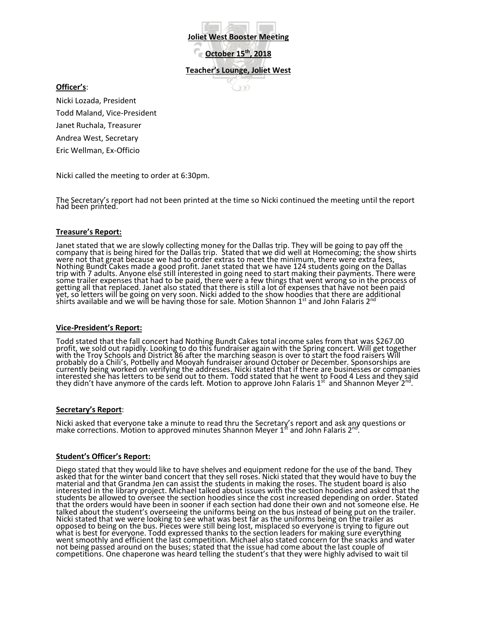**Joliet West Booster Meeting**

**October 15th, 2018**

**Teacher's Lounge, Joliet West**

 $177$ 

**Officer's**:

Nicki Lozada, President Todd Maland, Vice-President Janet Ruchala, Treasurer Andrea West, Secretary Eric Wellman, Ex-Officio

Nicki called the meeting to order at 6:30pm.

The Secretary's report had not been printed at the time so Nicki continued the meeting until the report had been printed.

# **Treasure's Report:**

Janet stated that we are slowly collecting money for the Dallas trip. They will be going to pay off the company that is being hired for the Dallas trip. Stated that we did well at Homecoming; the show shirts were not that great because we had to order extras to meet the minimum, there were extra fees, Nothing Bundt Cakes made a good profit. Janet stated that we have 124 students going on the Dallas trip with 7 adults. Anyone else still interested in going need to start making their payments. There were some trailer expenses that had to be paid, there were a few things that went wrong so in the process of getting all that replaced. Janet also stated that there is still a lot of expenses that have not been paid yet, so letters will be going on very soon. Nicki added to the show hoodies that there are additional shirts available and we will be having those for sale. Motion Shannon 1st and John Falaris 2<sup>nd</sup>

### **Vice-President's Report:**

Todd stated that the fall concert had Nothing Bundt Cakes total income sales from that was \$267.00 profit, we sold out rapidly. Looking to do this fundraiser again with the Spring concert. Will get together with the Troy Schools and District 86 after the marching season is over to start the food raisers Will probably do a Chili's, Potbelly and Mooyah fundraiser around October or December. Sponsorships are currently being worked on verifying the addresses. Nicki stated that if there are businesses or companies interestéd she has letters to be send out to them. Todd stated that he went to Food 4 Less and they said<br>they didn't have anymore of the cards left. Motion to approve John Falaris 1<sup>st</sup> and Shannon Meyer 2<sup>nd</sup>.

# **Secretary's Report**:

Nicki asked that everyone take a minute to read thru the Secretary's report and ask any questions or make corrections. Motion to approved minutes Shannon Meyer  $1<sup>st</sup>$  and John Falaris  $2<sup>nd</sup>$ .

# **Student's Officer's Report:**

Diego stated that they would like to have shelves and equipment redone for the use of the band. They asked that for the winter band concert that they sell roses. Nicki stated that they would have to buy the material and that Grandma Jen can assist the students in making the roses. The student board is also interested in the library project. Michael talked about issues with the section hoodies and asked that the students be allowed to oversee the section hoodies since the cost increased depending on order. Stated that the orders would have been in sooner if each section had done their own and not someone else. He talked about the student's overseeing the uniforms being on the bus instead of being put on the trailer. Nicki stated that we were looking to see what was best far as the uniforms being on the trailer as opposed to being on the bus. Pieces were still being lost, misplaced so everyone is trying to figure out what is best for everyone. Todd expressed thanks to the section leaders for making sure everything went smoothly and efficient the last competition. Michael also stated concern for the snacks and water not being passed around on the buses; stated that the issue had come about the last couple of competitions. One chaperone was heard telling the student's that they were highly advised to wait til